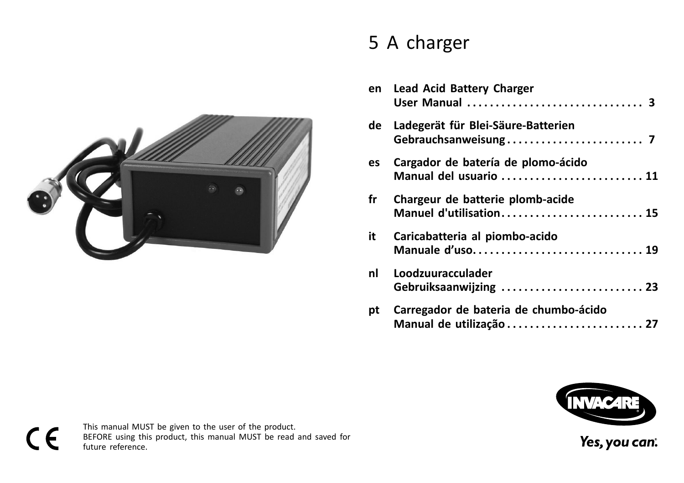

# 5 A charger

| en | <b>Lead Acid Battery Charger</b><br>User Manual  3                |
|----|-------------------------------------------------------------------|
| de | Ladegerät für Blei-Säure-Batterien                                |
| es | Cargador de batería de plomo-ácido<br>Manual del usuario  11      |
| fr | Chargeur de batterie plomb-acide<br>Manuel d'utilisation 15       |
| it | Caricabatteria al piombo-acido<br>Manuale d'uso 19                |
| nl | Loodzuuracculader<br>Gebruiksaanwijzing  23                       |
| рt | Carregador de bateria de chumbo-ácido<br>Manual de utilização  27 |



Yes, you can.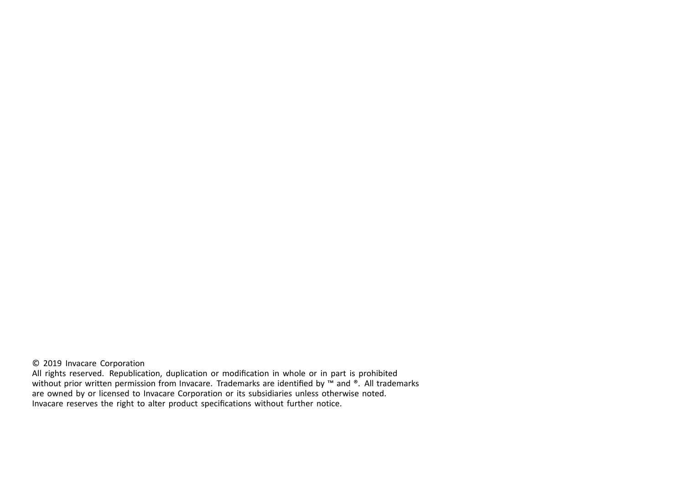© 2019 Invacare Corporation

All rights reserved. Republication, duplication or modification in whole or in part is prohibited without prior written permission from Invacare. Trademarks are identified by ™ and ®. All trademarks are owned by or licensed to Invacare Corporation or its subsidiaries unless otherwise noted. Invacare reserves the right to alter product specifications without further notice.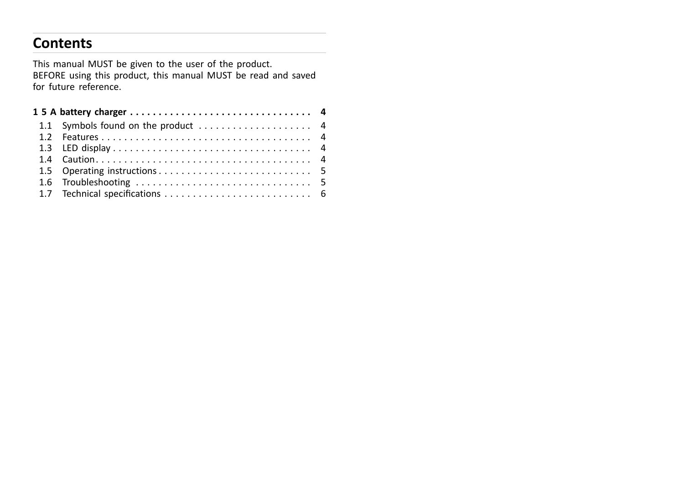## <span id="page-2-0"></span>**Contents**

This manual MUST be given to the user of the product. BEFORE using this product, this manual MUST be read and saved for future reference.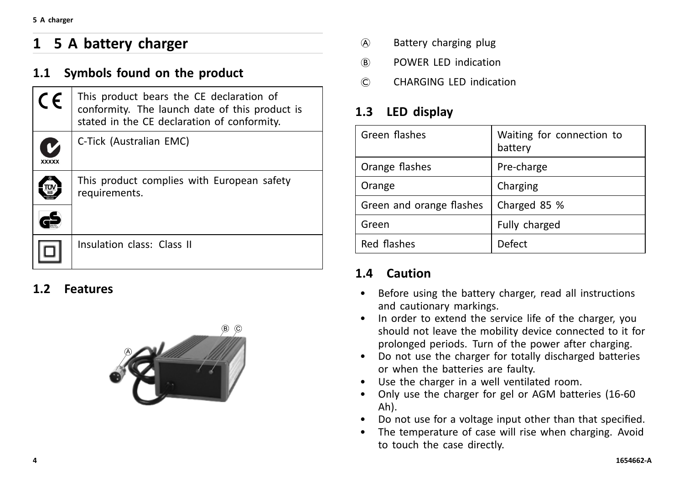## <span id="page-3-0"></span>**1 5 A battery charger**

### **1.1 Symbols found on the product**

| $C \in$                          | This product bears the CE declaration of<br>conformity. The launch date of this product is<br>stated in the CE declaration of conformity. |
|----------------------------------|-------------------------------------------------------------------------------------------------------------------------------------------|
| $\boldsymbol{V}$<br><b>XXXXX</b> | C-Tick (Australian EMC)                                                                                                                   |
|                                  | This product complies with European safety<br>requirements.                                                                               |
|                                  |                                                                                                                                           |
|                                  | Insulation class: Class II                                                                                                                |

## **1.2 Features**



- A Battery charging plug
- B POWER LED indication
- C CHARGING LED indication

### **1.3 LED display**

| Green flashes            | Waiting for connection to<br>battery |
|--------------------------|--------------------------------------|
| Orange flashes           | Pre-charge                           |
| Orange                   | Charging                             |
| Green and orange flashes | Charged 85 %                         |
| Green                    | Fully charged                        |
| Red flashes              | <b>Defect</b>                        |

## **1.4 Caution**

- • Before using the battery charger, read all instructions and cautionary markings.
- In order to extend the service life of the charger, you should not leave the mobility device connected to it for prolonged periods. Turn of the power after charging.
- Do not use the charger for totally discharged batteries or when the batteries are faulty.
- •Use the charger in <sup>a</sup> well ventilated room.
- • Only use the charger for gel or AGM batteries (16-60 Ah).
- •Do not use for <sup>a</sup> voltage input other than that specified.
- • The temperature of case will rise when charging. Avoid to touch the case directly.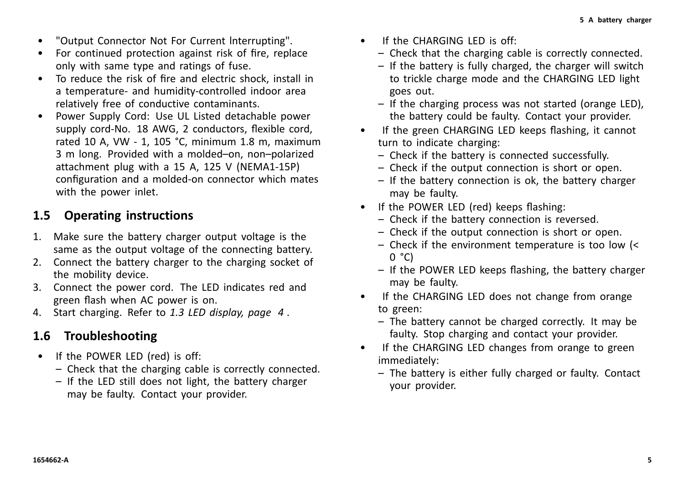- <span id="page-4-0"></span>•"Output Connector Not For Current lnterrupting".
- For continued protection against risk of fire, replace only with same type and ratings of fuse.
- To reduce the risk of fire and electric shock, install in <sup>a</sup> temperature- and humidity-controlled indoor area relatively free of conductive contaminants.
- Power Supply Cord: Use UL Listed detachable power supply cord-No. 18 AWG, 2 conductors, flexible cord, rated 10 A, VW - 1, 105 °C, minimum 1.8 m, maximum 3 <sup>m</sup> long. Provided with <sup>a</sup> molded–on, non–polarized attachment plug with <sup>a</sup> 15 A, 125 V (NEMA1-15P) configuration and <sup>a</sup> molded-on connector which mates with the power inlet.

## **1.5 Operating instructions**

- 1. Make sure the battery charger output voltage is the same as the output voltage of the connecting battery.
- 2. Connect the battery charger to the charging socket of the mobility device.
- 3. Connect the power cord. The LED indicates red and green flash when AC power is on.
- 4. Start charging. Refer to *1.3 LED [display,](#page-3-0) page [4](#page-3-0)* .

## **1.6 Troubleshooting**

- If the POWER LED (red) is off:
	- Check that the charging cable is correctly connected.
	- If the LED still does not light, the battery charger may be faulty. Contact your provider.
- • If the CHARGING LED is off:
	- Check that the charging cable is correctly connected.
	- If the battery is fully charged, the charger will switch to trickle charge mode and the CHARGING LED light goes out.
	- If the charging process was not started (orange LED), the battery could be faulty. Contact your provider.
- • If the green CHARGING LED keeps flashing, it cannot turn to indicate charging:
	- Check if the battery is connected successfully.
	- Check if the output connection is short or open.
	- If the battery connection is ok, the battery charger may be faulty.
- • If the POWER LED (red) keeps flashing:
	- Check if the battery connection is reversed.
	- Check if the output connection is short or open.
	- Check if the environment temperature is too low (<  $0 °C$
	- If the POWER LED keeps flashing, the battery charger may be faulty.
- • If the CHARGING LED does not change from orange to green:
	- The battery cannot be charged correctly. It may be faulty. Stop charging and contact your provider.
- • If the CHARGING LED changes from orange to green immediately:
	- The battery is either fully charged or faulty. Contact your provider.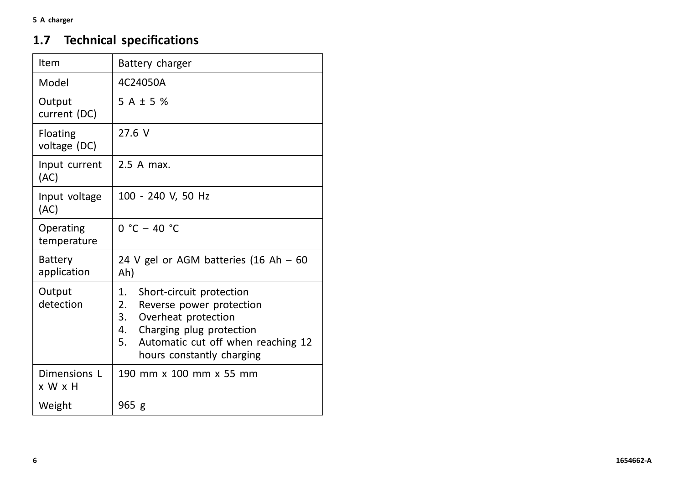## <span id="page-5-0"></span>**1.7 Technical specific ations**

| Item                     | Battery charger                                                                                                                                                                                          |
|--------------------------|----------------------------------------------------------------------------------------------------------------------------------------------------------------------------------------------------------|
| Model                    | 4C24050A                                                                                                                                                                                                 |
| Output<br>current (DC)   | $5A + 5%$                                                                                                                                                                                                |
| Floating<br>voltage (DC) | 27.6 V                                                                                                                                                                                                   |
| Input current<br>(AC)    | 2.5 A max.                                                                                                                                                                                               |
| Input voltage<br>(AC)    | 100 - 240 V, 50 Hz                                                                                                                                                                                       |
| Operating<br>temperature | 0 °C – 40 °C                                                                                                                                                                                             |
| Battery<br>application   | 24 V gel or AGM batteries (16 Ah $-60$<br>Ah)                                                                                                                                                            |
| Output<br>detection      | 1.<br>Short-circuit protection<br>2.<br>Reverse power protection<br>3.<br>Overheat protection<br>4.<br>Charging plug protection<br>5.<br>Automatic cut off when reaching 12<br>hours constantly charging |
| Dimensions L<br>x W x H  | 190 mm x 100 mm x 55 mm                                                                                                                                                                                  |
| Weight                   | 965 g                                                                                                                                                                                                    |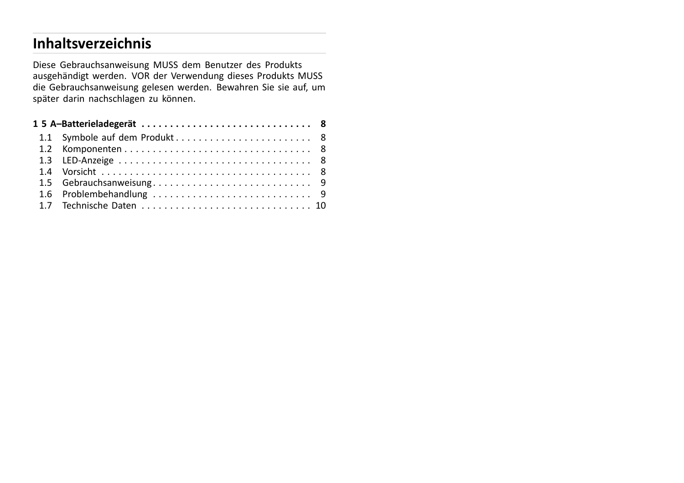## <span id="page-6-0"></span>**Inhaltsverzeichnis**

Diese Gebrauchsanweisung MUSS dem Benutzer des Produkts ausgehändigt werden. VOR der Verwendung dieses Produkts MUSS die Gebrauchsanweisung gelesen werden. Bewahren Sie sie auf, um später darin nachschlagen zu können.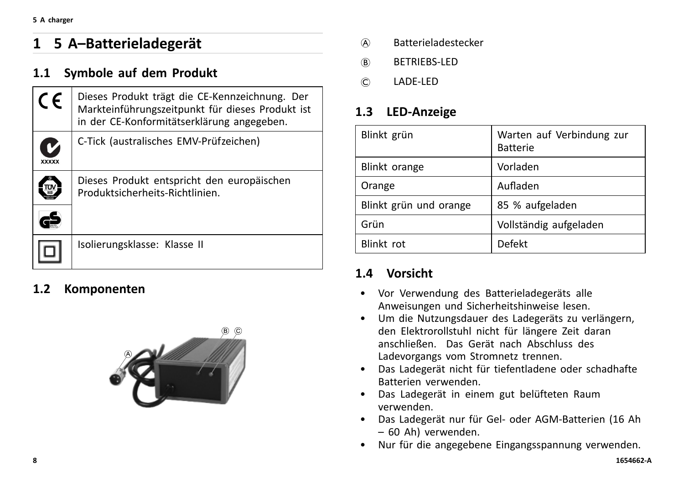## <span id="page-7-0"></span>**1 5 A–Batterieladegerät**

## **1.1 Symbole auf dem Produkt**

| CE                        | Dieses Produkt trägt die CE-Kennzeichnung. Der<br>Markteinführungszeitpunkt für dieses Produkt ist<br>in der CE-Konformitätserklärung angegeben. |
|---------------------------|--------------------------------------------------------------------------------------------------------------------------------------------------|
| $\bullet$<br><b>XXXXX</b> | C-Tick (australisches EMV-Prüfzeichen)                                                                                                           |
|                           | Dieses Produkt entspricht den europäischen<br>Produktsicherheits-Richtlinien.                                                                    |
|                           |                                                                                                                                                  |
|                           | Isolierungsklasse: Klasse II                                                                                                                     |

## **1.2 Komponenten**



- A Batterieladestecker
- B BETRIEBS-LED
- C LADE-LED

#### **1.3 LED-Anzeige**

| Blinkt grün            | Warten auf Verbindung zur<br><b>Batterie</b> |
|------------------------|----------------------------------------------|
| Blinkt orange          | Vorladen                                     |
| Orange                 | Aufladen                                     |
| Blinkt grün und orange | 85 % aufgeladen                              |
| Grün                   | Vollständig aufgeladen                       |
| Blinkt rot             | Defekt                                       |

## **1.4 Vorsicht**

- Vor Verwendung des Batterieladegeräts alle Anweisungen und Sicherheitshinweise lesen.
- Um die Nutzungsdauer des Ladegeräts zu verlängern, den Elektrorollstuhl nicht für längere Zeit daran anschließen. Das Gerät nach Abschluss des Ladevorgangs vom Stromnetz trennen.
- • Das Ladegerät nicht für tiefentladene oder schadhafte Batterien verwenden.
- • Das Ladegerät in einem gut belüfteten Raum verwenden.
- • Das Ladegerät nur für Gel- oder AGM-Batterien (16 Ah – 60 Ah) verwenden.
- •Nur für die angegebene Eingangsspannung verwenden.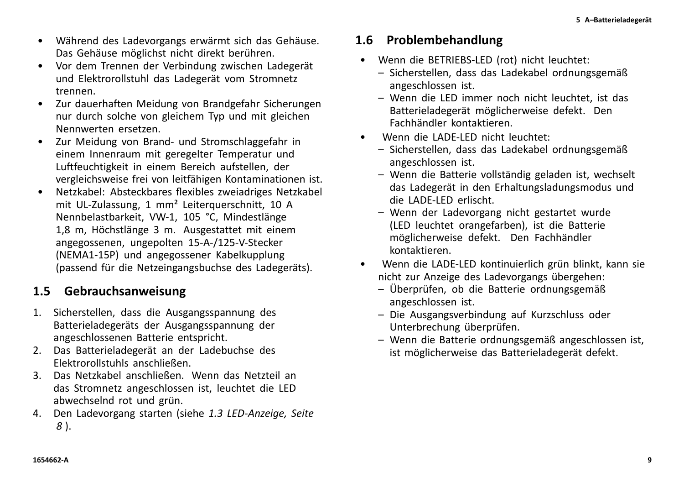- <span id="page-8-0"></span>• Während des Ladevorgangs erwärmt sich das Gehäuse. Das Gehäuse möglichst nicht direkt berühren.
- Vor dem Trennen der Verbindung zwischen Ladegerät und Elektrorollstuhl das Ladegerät vom Stromnetz trennen.
- Zur dauerhaften Meidung von Brandgefahr Sicherungen nur durch solche von gleichem Typ und mit gleichen Nennwerten ersetzen.
- Zur Meidung von Brand- und Stromschlaggefahr in einem Innenraum mit geregelter Temperatur und Luftfeuchtigkeit in einem Bereich aufstellen, der vergleichsweise frei von leitfähigen Kontaminationen ist.
- • Netzkabel: Absteckbares flexibles zweiadriges Netzkabel mit UL-Zulassung, <sup>1</sup> mm<sup>²</sup> Leiterquerschnitt, 10 <sup>A</sup> Nennbelastbarkeit, VW-1, 105 °C, Mindestlänge 1,8 m, Höchstlänge 3 m. Ausgestattet mit einem angegossenen, ungepolten 15-A-/125-V-Stecker (NEMA1-15P) und angegossener Kabelkupplung (passend für die Netzeingangsbuchse des Ladegeräts).

## **1.5 Gebrauchsanweisung**

- 1. Sicherstellen, dass die Ausgangsspannung des Batterieladegeräts der Ausgangsspannung der angeschlossenen Batterie entspricht.
- 2. Das Batterieladegerät an der Ladebuchse des Elektrorollstuhls anschließen.
- 3. Das Netzkabel anschließen. Wenn das Netzteil an das Stromnetz angeschlossen ist, leuchtet die LED abwechselnd rot und grün.
- 4. Den Ladevorgang starten (siehe *1.3 [LED-Anzeige,](#page-7-0) Seite [8](#page-7-0)* ).

## **1.6 Problembehandlung**

- • Wenn die BETRIEBS-LED (rot) nicht leuchtet:
	- Sicherstellen, dass das Ladekabel ordnungsgemäß angeschlossen ist.
	- Wenn die LED immer noch nicht leuchtet, ist das Batterieladegerät möglicherweise defekt. Den Fachhändler kontaktieren.
- • Wenn die LADE-LED nicht leuchtet:
	- Sicherstellen, dass das Ladekabel ordnungsgemäß angeschlossen ist.
	- Wenn die Batterie vollständig geladen ist, wechselt das Ladegerät in den Erhaltungsladungsmodus und die LADE-LED erlischt.
	- Wenn der Ladevorgang nicht gestartet wurde (LED leuchtet orangefarben), ist die Batterie möglicherweise defekt. Den Fachhändler kontaktieren.
- • Wenn die LADE-LED kontinuierlich grün blinkt, kann sie nicht zur Anzeige des Ladevorgangs übergehen:
	- Überprüfen, ob die Batterie ordnungsgemäß angeschlossen ist.
	- Die Ausgangsverbindung auf Kurzschluss oder Unterbrechung überprüfen.
	- Wenn die Batterie ordnungsgemäß angeschlossen ist, ist möglicherweise das Batterieladegerät defekt.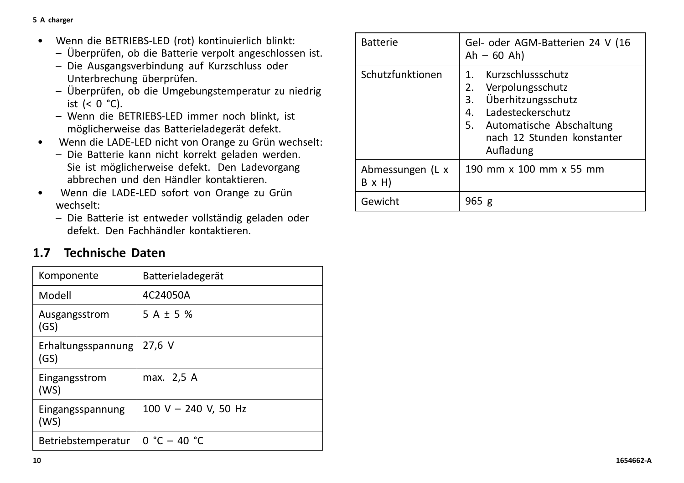- <span id="page-9-0"></span>• Wenn die BETRIEBS-LED (rot) kontinuierlich blinkt:
	- Überprüfen, ob die Batterie verpolt angeschlossen ist.
	- Die Ausgangsverbindung auf Kurzschluss oder Unterbrechung überprüfen.
	- Überprüfen, ob die Umgebungstemperatur zu niedrig ist  $( $0$  °C)$ .
	- Wenn die BETRIEBS-LED immer noch blinkt, ist möglicherweise das Batterieladegerät defekt.
- • Wenn die LADE-LED nicht von Orange zu Grün wechselt:
	- Die Batterie kann nicht korrekt geladen werden. Sie ist möglicherweise defekt. Den Ladevorgang abbrechen und den Händler kontaktieren.
- • Wenn die LADE-LED sofort von Orange zu Grün wechselt:
	- Die Batterie ist entweder vollständig geladen oder defekt. Den Fachhändler kontaktieren.

### **1.7 Technische Daten**

| Komponente                 | Batterieladegerät       |
|----------------------------|-------------------------|
| Modell                     | 4C24050A                |
| Ausgangsstrom<br>(GS)      | $5A \pm 5%$             |
| Erhaltungsspannung<br>(GS) | 27,6 V                  |
| Eingangsstrom<br>(WS)      | max. 2,5 A              |
| Eingangsspannung<br>(WS)   | $100 V - 240 V$ . 50 Hz |
| Betriebstemperatur         | $0 °C - 40 °C$          |

| <b>Batterie</b>            | Gel- oder AGM-Batterien 24 V (16<br>$Ah - 60 Ah)$                                                                                                                                       |
|----------------------------|-----------------------------------------------------------------------------------------------------------------------------------------------------------------------------------------|
| Schutzfunktionen           | Kurzschlussschutz<br>$1_{-}$<br>Verpolungsschutz<br>2.<br>Überhitzungsschutz<br>3.<br>Ladesteckerschutz<br>4.<br>5. Automatische Abschaltung<br>nach 12 Stunden konstanter<br>Aufladung |
| Abmessungen (L x<br>B x H) | 190 mm x 100 mm x 55 mm                                                                                                                                                                 |
| Gewicht                    | 965 g                                                                                                                                                                                   |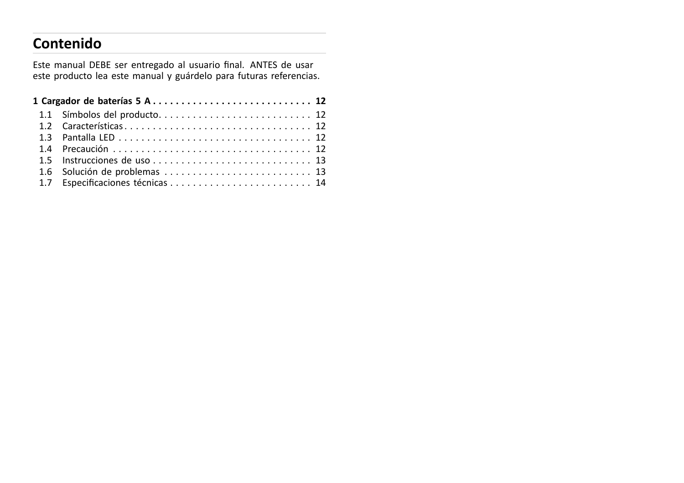## <span id="page-10-0"></span>**Contenido**

Este manual DEBE ser entregado al usuario final. ANTES de usar este producto lea este manual y guárdelo para futuras referencias.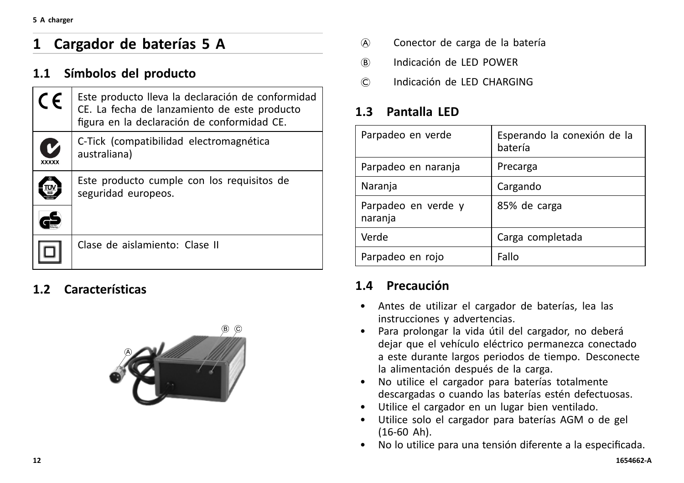## <span id="page-11-0"></span>**1 Cargador de baterías 5 A**

## **1.1 Símbolos del producto**

| CE                        | Este producto lleva la declaración de conformidad<br>CE. La fecha de lanzamiento de este producto<br>figura en la declaración de conformidad CE. |
|---------------------------|--------------------------------------------------------------------------------------------------------------------------------------------------|
| $\boldsymbol{C}$<br>xxxxx | C-Tick (compatibilidad electromagnética<br>australiana)                                                                                          |
|                           | Este producto cumple con los requisitos de<br>seguridad europeos.                                                                                |
|                           |                                                                                                                                                  |
|                           | Clase de aislamiento: Clase II                                                                                                                   |

## **1.2 Características**



- A Conector de carga de la batería
- B Indicación de LED POWER
- C Indicación de LED CHARGING

#### **1.3 Pantalla LED**

| Parpadeo en verde              | Esperando la conexión de la<br>batería |
|--------------------------------|----------------------------------------|
| Parpadeo en naranja            | Precarga                               |
| Naranja                        | Cargando                               |
| Parpadeo en verde y<br>naranja | 85% de carga                           |
| Verde                          | Carga completada                       |
| Parpadeo en rojo               | Fallo                                  |

#### **1.4 Precaución**

- Antes de utilizar el cargador de baterías, lea las instrucciones y advertencias.
- Para prolongar la vida útil del cargador, no deberá dejar que el vehículo eléctrico permanezca conectado <sup>a</sup> este durante largos periodos de tiempo. Desconecte la alimentación después de la carga.
- No utilice el cargador para baterías totalmente descargadas <sup>o</sup> cuando las baterías estén defectuosas.
- •Utilice el cargador en un lugar bien ventilado.
- Utilice solo el cargador para baterías AGM <sup>o</sup> de gel (16-60 Ah).
- •No lo utilice para una tensión diferente <sup>a</sup> la especificada.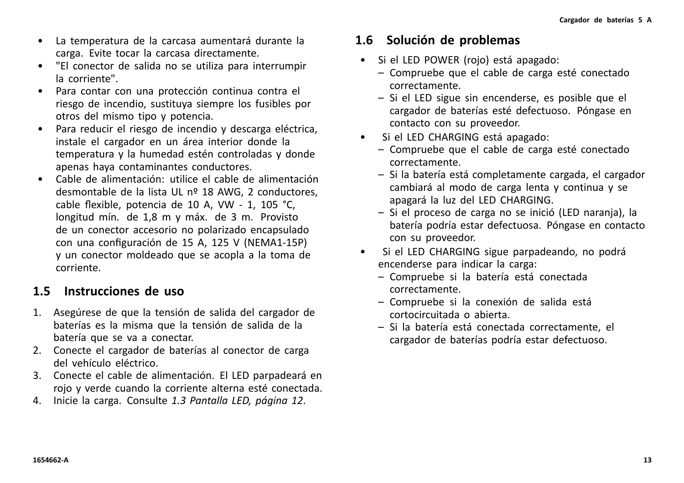- <span id="page-12-0"></span>• La temperatura de la carcasa aumentará durante la carga. Evite tocar la carcasa directamente.
- "El conector de salida no se utiliza para interrumpir la corriente".
- Para contar con una protección continua contra el riesgo de incendio, sustituya siempre los fusibles por otros del mismo tipo y potencia.
- Para reducir el riesgo de incendio y descarga eléctrica, instale el cargador en un área interior donde la temperatura y la humedad estén controladas y donde apenas haya contaminantes conductores.
- Cable de alimentación: utilice el cable de alimentación desmontable de la lista UL <sup>n</sup><sup>º</sup> 18 AWG, 2 conductores, cable flexible, potencia de 10 A, VW - 1, 105 °C, longitud mín. de 1,8 <sup>m</sup> y máx. de 3 m. Provisto de un conector accesorio no polarizado encapsulado con una configuración de 15 A, 125 V (NEMA1-15P) y un conector moldeado que se acopla <sup>a</sup> la toma de corriente.

### **1.5 Instrucciones de uso**

- 1. Asegúrese de que la tensión de salida del cargador de baterías es la misma que la tensión de salida de la batería que se va <sup>a</sup> conectar.
- 2. Conecte el cargador de baterías al conector de carga del vehículo eléctrico.
- 3. Conecte el cable de alimentación. El LED parpadeará en rojo y verde cuando la corriente alterna esté conectada.
- 4. Inicie la carga. Consulte *1.3 Pantalla LED, [página](#page-11-0) [12](#page-11-0)*.

## **1.6 Solución de problemas**

- • Si el LED POWER (rojo) está apagado:
	- Compruebe que el cable de carga esté conectado correctamente.
	- Si el LED sigue sin encenderse, es posible que el cargador de baterías esté defectuoso. Póngase en contacto con su proveedor.
- • Si el LED CHARGING está apagado:
	- Compruebe que el cable de carga esté conectado correctamente.
	- Si la batería está completamente cargada, el cargador cambiará al modo de carga lenta y continua y se apagará la luz del LED CHARGING.
	- Si el proceso de carga no se inició (LED naranja), la batería podría estar defectuosa. Póngase en contacto con su proveedor.
- • Si el LED CHARGING sigue parpadeando, no podrá encenderse para indicar la carga:
	- Compruebe si la batería está conectada correctamente.
	- Compruebe si la conexión de salida está cortocircuitada o abierta.
	- Si la batería está conectada correctamente, el cargador de baterías podría estar defectuoso.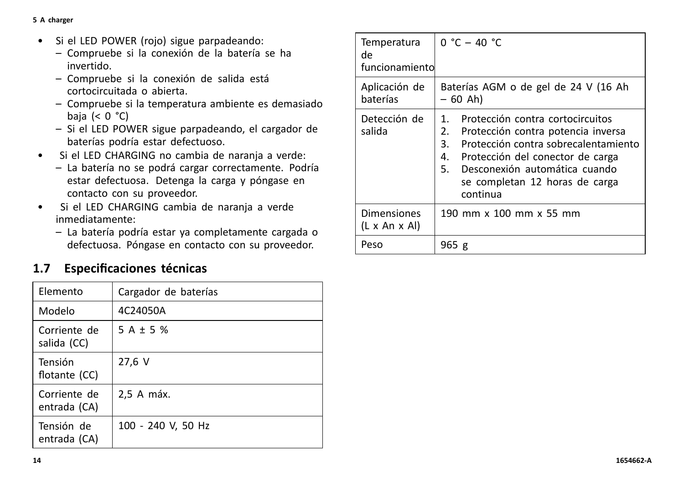- <span id="page-13-0"></span>• Si el LED POWER (rojo) sigue parpadeando:
	- Compruebe si la conexión de la batería se ha invertido.
	- Compruebe si la conexión de salida está cortocircuitada o abierta.
	- Compruebe si la temperatura ambiente es demasiado baja  $( $0°C$ )$
	- Si el LED POWER sigue parpadeando, el cargador de baterías podría estar defectuoso.
- • Si el LED CHARGING no cambia de naranja <sup>a</sup> verde:
	- La batería no se podrá cargar correctamente. Podría estar defectuosa. Detenga la carga y póngase en contacto con su proveedor.
- • Si el LED CHARGING cambia de naranja <sup>a</sup> verde inmediatamente:
	- La batería podría estar ya completamente cargada <sup>o</sup> defectuosa. Póngase en contacto con su proveedor.

## **1.7 Especificaciones técnicas**

| Elemento                     | Cargador de baterías |
|------------------------------|----------------------|
| Modelo                       | 4C24050A             |
| Corriente de<br>salida (CC)  | $5A \pm 5%$          |
| Tensión<br>flotante (CC)     | 27,6 V               |
| Corriente de<br>entrada (CA) | 2,5 A máx.           |
| Tensión de<br>entrada (CA)   | 100 - 240 V, 50 Hz   |

| Temperatura<br>de<br>funcionamiento | $0 °C - 40 °C$                                                                                                                                                                                                                                                  |
|-------------------------------------|-----------------------------------------------------------------------------------------------------------------------------------------------------------------------------------------------------------------------------------------------------------------|
| Aplicación de<br>baterías           | Baterías AGM o de gel de 24 V (16 Ah<br>$-60$ Ah)                                                                                                                                                                                                               |
| Detección de<br>salida              | 1.<br>Protección contra cortocircuitos<br>2.<br>Protección contra potencia inversa<br>3.<br>Protección contra sobrecalentamiento<br>4.<br>Protección del conector de carga<br>5.<br>Desconexión automática cuando<br>se completan 12 horas de carga<br>continua |
| <b>Dimensiones</b><br>(L x An x Al) | 190 mm x 100 mm x 55 mm                                                                                                                                                                                                                                         |
| Peso                                | 965 g                                                                                                                                                                                                                                                           |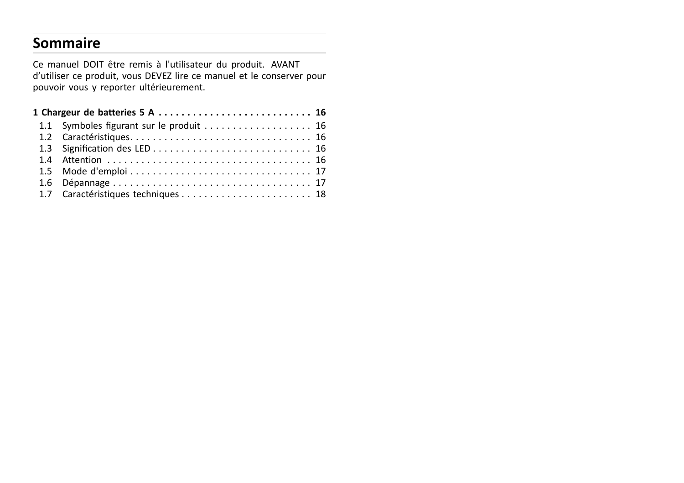## <span id="page-14-0"></span>**Sommaire**

Ce manuel DOIT être remis à l'utilisateur du produit. AVANT d'utiliser ce produit, vous DEVEZ lire ce manuel et le conserver pour pouvoir vous y reporter ultérieurement.

| 1 Chargeur de batteries 5 A  16          |
|------------------------------------------|
| 1.1 Symboles figurant sur le produit  16 |
|                                          |
|                                          |
|                                          |
|                                          |
|                                          |
|                                          |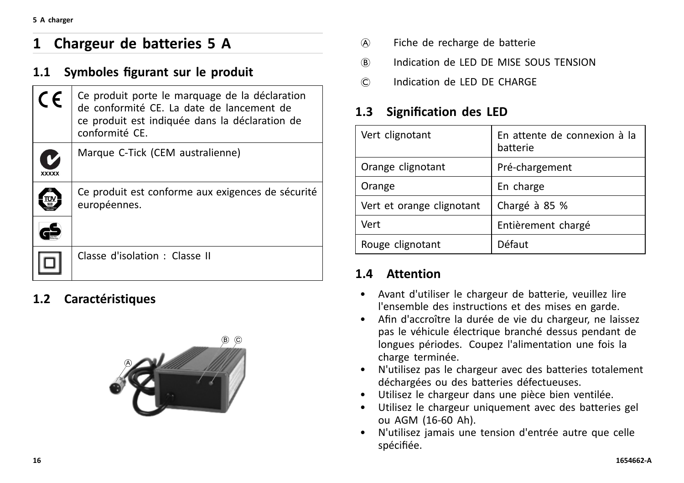## <span id="page-15-0"></span>**1 Chargeur de batteries 5 A**

### **1.1 Symboles figurant sur le produit**

| $C \in$                          | Ce produit porte le marquage de la déclaration<br>de conformité CE. La date de lancement de<br>ce produit est indiquée dans la déclaration de |
|----------------------------------|-----------------------------------------------------------------------------------------------------------------------------------------------|
|                                  | conformité CE.                                                                                                                                |
| $\boldsymbol{V}$<br><b>XXXXX</b> | Marque C-Tick (CEM australienne)                                                                                                              |
|                                  | Ce produit est conforme aux exigences de sécurité<br>européennes.                                                                             |
|                                  |                                                                                                                                               |
|                                  | Classe d'isolation : Classe II                                                                                                                |

## **1.2 Caractéristiques**



- A Fiche de recharge de batterie
- B Indication de LED DE MISE SOUS TENSION
- C Indication de LED DE CHARGE

### **1.3 Signification des LED**

| Vert clignotant           | En attente de connexion à la<br>batterie |
|---------------------------|------------------------------------------|
| Orange clignotant         | Pré-chargement                           |
| Orange                    | En charge                                |
| Vert et orange clignotant | Chargé à 85 %                            |
| Vert                      | Entièrement chargé                       |
| Rouge clignotant          | Défaut                                   |

## **1.4 Attention**

- Avant d'utiliser le chargeur de batterie, veuillez lire l'ensemble des instructions et des mises en garde.
- Afin d'accroître la durée de vie du chargeur, ne laissez pas le véhicule électrique branché dessus pendant de longues périodes. Coupez l'alimentation une fois la charge terminée.
- • N'utilisez pas le chargeur avec des batteries totalement déchargées ou des batteries défectueuses.
- •Utilisez le chargeur dans une pièce bien ventilée.
- • Utilisez le chargeur uniquement avec des batteries gel ou AGM (16-60 Ah).
- • N'utilisez jamais une tension d'entrée autre que celle spécifiée.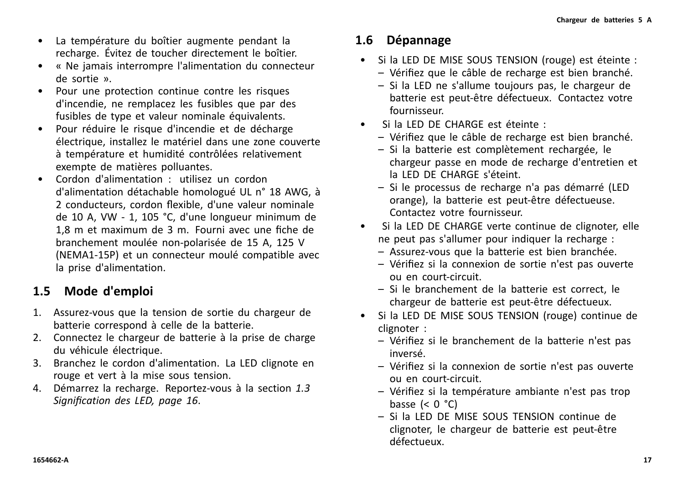- <span id="page-16-0"></span>• La température du boîtier augmente pendant la recharge. Évitez de toucher directement le boîtier.
- « Ne jamais interrompre l'alimentation du connecteur de sortie ».
- Pour une protection continue contre les risques d'incendie, ne remplacez les fusibles que par des fusibles de type et valeur nominale équivalents.
- Pour réduire le risque d'incendie et de décharge électrique, installez le matériel dans une zone couverte à température et humidité contrôlées relativement exempte de matières polluantes.
- Cordon d'alimentation : utilisez un cordon d'alimentation détachable homologué UL <sup>n</sup>° 18 AWG, à 2 conducteurs, cordon flexible, d'une valeur nominale de 10 A, VW - 1, 105 °C, d'une longueur minimum de 1,8 <sup>m</sup> et maximum de 3 m. Fourni avec une fiche de branchement moulée non-polarisée de 15 A, 125 V (NEMA1-15P) et un connecteur moulé compatible avec la prise d'alimentation.

## **1.5 Mode d'emploi**

- 1. Assurez-vous que la tension de sortie du chargeur de batterie correspond à celle de la batterie.
- 2. Connectez le chargeur de batterie à la prise de charge du véhicule électrique.
- 3. Branchez le cordon d'alimentation. La LED clignote en rouge et vert à la mise sous tension.
- 4. Démarrez la recharge. Reportez-vous à la section *[1.3](#page-15-0) [Signification](#page-15-0) des LED, page [16](#page-15-0)*.

## **1.6 Dépannage**

- • Si la LED DE MISE SOUS TENSION (rouge) est éteinte :
	- Vérifiez que le câble de recharge est bien branché.
	- Si la LED ne <sup>s</sup>'allume toujours pas, le chargeur de batterie est peut-être défectueux. Contactez votre fournisseur.
- • Si la LED DE CHARGE est éteinte :
	- Vérifiez que le câble de recharge est bien branché.
	- Si la batterie est complètement rechargée, le chargeur passe en mode de recharge d'entretien et la LED DE CHARGE <sup>s</sup>'éteint.
	- Si le processus de recharge <sup>n</sup>'a pas démarré (LED orange), la batterie est peut-être défectueuse. Contactez votre fournisseur.
- • Si la LED DE CHARGE verte continue de clignoter, elle ne peut pas <sup>s</sup>'allumer pour indiquer la recharge :
	- Assurez-vous que la batterie est bien branchée.
	- Vérifiez si la connexion de sortie <sup>n</sup>'est pas ouverte ou en court-circuit.
	- Si le branchement de la batterie est correct, le chargeur de batterie est peut-être défectueux.
- • Si la LED DE MISE SOUS TENSION (rouge) continue de clignoter :
	- Vérifiez si le branchement de la batterie <sup>n</sup>'est pas inversé.
	- Vérifiez si la connexion de sortie <sup>n</sup>'est pas ouverte ou en court-circuit.
	- Vérifiez si la température ambiante <sup>n</sup>'est pas trop basse  $( $0$  °C)$
	- Si la LED DE MISE SOUS TENSION continue de clignoter, le chargeur de batterie est peut-être défectueux.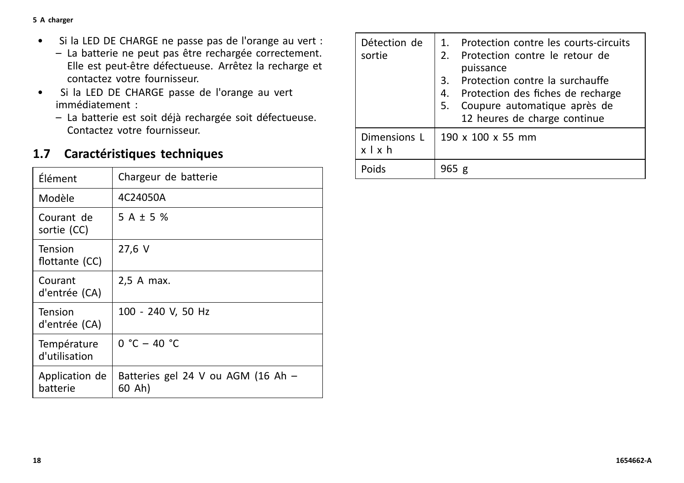- <span id="page-17-0"></span>• Si la LED DE CHARGE ne passe pas de l'orange au vert :
	- La batterie ne peut pas être rechargée correctement. Elle est peut-être défectueuse. Arrêtez la recharge et contactez votre fournisseur.
- Si la LED DE CHARGE passe de l'orange au vert immédiatement :
	- La batterie est soit déjà rechargée soit défectueuse. Contactez votre fournisseur.

## **1.7 Caractéristiques techniques**

| Élément                      | Chargeur de batterie                           |
|------------------------------|------------------------------------------------|
| Modèle                       | 4C24050A                                       |
| Courant de<br>sortie (CC)    | $5A \pm 5%$                                    |
| Tension<br>flottante (CC)    | 27,6 V                                         |
| Courant<br>d'entrée (CA)     | 2,5 A max.                                     |
| Tension<br>d'entrée (CA)     | 100 - 240 V, 50 Hz                             |
| Température<br>d'utilisation | 0 °C – 40 °C                                   |
| Application de<br>batterie   | Batteries gel 24 V ou AGM (16 Ah $-$<br>60 Ah) |

| Détection de<br>sortie             | Protection contre les courts-circuits<br>$\mathbf{1}$ .<br>Protection contre le retour de<br>2.<br>puissance<br>Protection contre la surchauffe<br>3.<br>Protection des fiches de recharge<br>4.<br>Coupure automatique après de<br>5.<br>12 heures de charge continue |  |
|------------------------------------|------------------------------------------------------------------------------------------------------------------------------------------------------------------------------------------------------------------------------------------------------------------------|--|
| Dimensions L<br>$x \,   \, x \, h$ | 190 x 100 x 55 mm                                                                                                                                                                                                                                                      |  |
| Poids                              | 965 g                                                                                                                                                                                                                                                                  |  |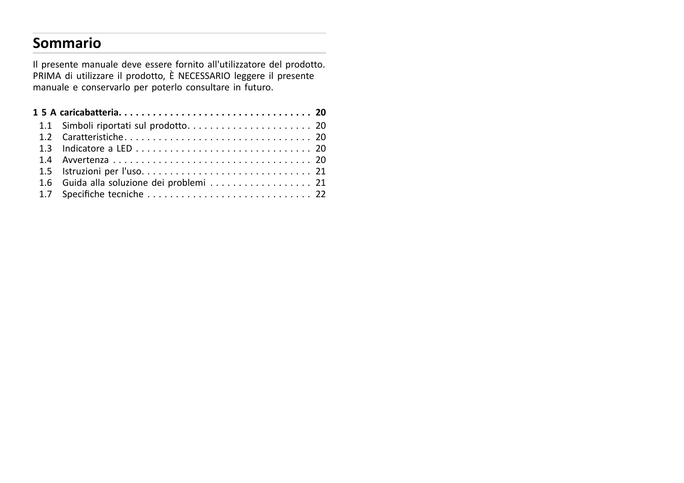## <span id="page-18-0"></span>**Sommario**

Il presente manuale deve essere fornito all'utilizzatore del prodotto. PRIMA di utilizzare il prodotto, È NECESSARIO leggere il presente manuale <sup>e</sup> conservarlo per poterlo consultare in futuro.

| 1.6 Guida alla soluzione dei problemi 21 |  |
|------------------------------------------|--|
|                                          |  |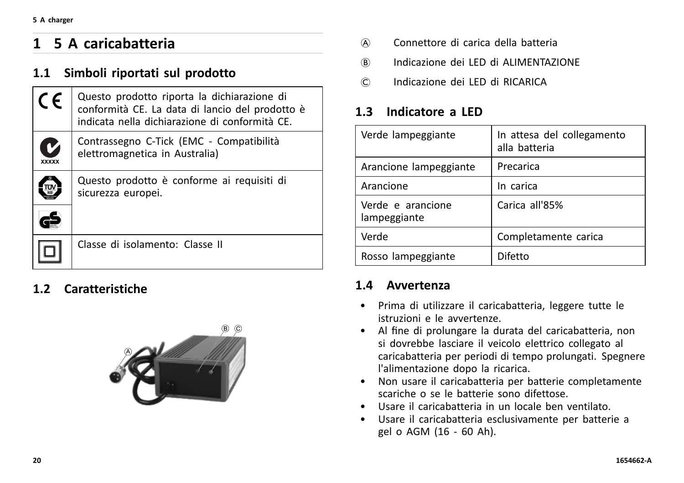## <span id="page-19-0"></span>**1 5 A caricabatteria**

### **1.1 Simboli riportati sul prodotto**

| CE                               | Questo prodotto riporta la dichiarazione di<br>conformità CE. La data di lancio del prodotto è<br>indicata nella dichiarazione di conformità CE. |
|----------------------------------|--------------------------------------------------------------------------------------------------------------------------------------------------|
| $\boldsymbol{C}$<br><b>XXXXX</b> | Contrassegno C-Tick (EMC - Compatibilità<br>elettromagnetica in Australia)                                                                       |
|                                  | Questo prodotto è conforme ai requisiti di<br>sicurezza europei.                                                                                 |
|                                  |                                                                                                                                                  |
|                                  | Classe di isolamento: Classe II                                                                                                                  |

## **1.2 Caratteristiche**



- A Connettore di carica della batteria
- B Indicazione dei LED di ALIMENTAZIONE
- C Indicazione dei LED di RICARICA

#### **1.3 Indicatore a LED**

| Verde lampeggiante                | In attesa del collegamento<br>alla batteria |
|-----------------------------------|---------------------------------------------|
| Arancione lampeggiante            | Precarica                                   |
| Arancione                         | In carica                                   |
| Verde e arancione<br>lampeggiante | Carica all'85%                              |
| Verde                             | Completamente carica                        |
| Rosso lampeggiante                | Difetto                                     |

#### **1.4 Avvertenza**

- Prima di utilizzare il caricabatteria, leggere tutte le istruzioni e le avvertenze.
- Al fine di prolungare la durata del caricabatteria, non si dovrebbe lasciare il veicolo elettrico collegato al caricabatteria per periodi di tempo prolungati. Spegnere l'alimentazione dopo la ricarica.
- • Non usare il caricabatteria per batterie completamente scariche <sup>o</sup> se le batterie sono difettose.
- Usare il caricabatteria in un locale ben ventilato.
- Usare il caricabatteria esclusivamente per batterie <sup>a</sup> gel <sup>o</sup> AGM (16 - 60 Ah).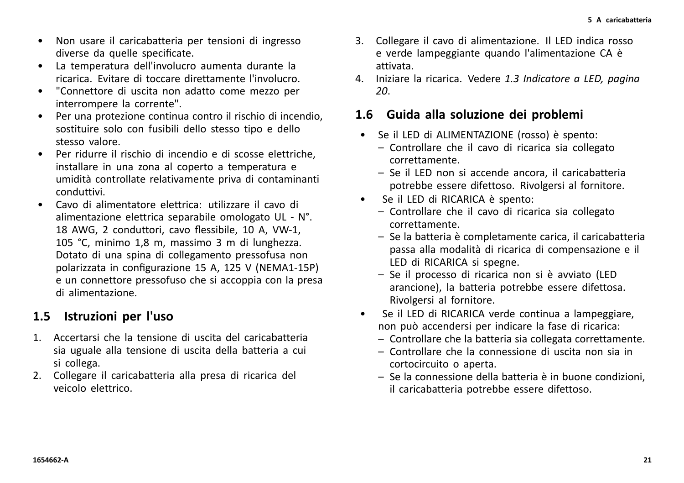- <span id="page-20-0"></span>• Non usare il caricabatteria per tensioni di ingresso diverse da quelle specificate.
- La temperatura dell'involucro aumenta durante la ricarica. Evitare di toccare direttamente l'involucro.
- "Connettore di uscita non adatto come mezzo per interrompere la corrente".
- Per una protezione continua contro il rischio di incendio, sostituire solo con fusibili dello stesso tipo <sup>e</sup> dello stesso valore.
- Per ridurre il rischio di incendio <sup>e</sup> di scosse elettriche, installare in una zona al coperto <sup>a</sup> temperatura <sup>e</sup> umidità controllate relativamente priva di contaminanti conduttivi.
- Cavo di alimentatore elettrica: utilizzare il cavo di alimentazione elettrica separabile omologato UL - N°. 18 AWG, 2 conduttori, cavo flessibile, 10 A, VW-1, 105 °C, minimo 1,8 m, massimo 3 <sup>m</sup> di lunghezza. Dotato di una spina di collegamento pressofusa non polarizzata in configurazione 15 A, 125 V (NEMA1-15P) <sup>e</sup> un connettore pressofuso che si accoppia con la presa di alimentazione.

#### **1.5 Istruzioni per l'uso**

- 1. Accertarsi che la tensione di uscita del caricabatteria sia uguale alla tensione di uscita della batteria <sup>a</sup> cui si collega.
- 2. Collegare il caricabatteria alla presa di ricarica del veicolo elettrico.
- 3. Collegare il cavo di alimentazione. Il LED indica rosso <sup>e</sup> verde lampeggiante quando l'alimentazione CA è attivata.
- 4. Iniziare la ricarica. Vedere *1.3 [Indicatore](#page-19-0) <sup>a</sup> LED, pagina [20](#page-19-0)*.

#### **1.6 Guida alla soluzione dei problemi**

- Se il LED di ALIMENTAZIONE (rosso) è spento:
	- Controllare che il cavo di ricarica sia collegato correttamente.
	- Se il LED non si accende ancora, il caricabatteria potrebbe essere difettoso. Rivolgersi al fornitore.
- • Se il LED di RICARICA è spento:
	- Controllare che il cavo di ricarica sia collegato correttamente.
	- Se la batteria è completamente carica, il caricabatteria passa alla modalità di ricarica di compensazione <sup>e</sup> il LED di RICARICA si spegne.
	- Se il processo di ricarica non si è avviato (LED arancione), la batteria potrebbe essere difettosa. Rivolgersi al fornitore.
- • Se il LED di RICARICA verde continua <sup>a</sup> lampeggiare, non può accendersi per indicare la fase di ricarica:
	- Controllare che la batteria sia collegata correttamente.
	- Controllare che la connessione di uscita non sia in cortocircuito <sup>o</sup> aperta.
	- Se la connessione della batteria è in buone condizioni, il caricabatteria potrebbe essere difettoso.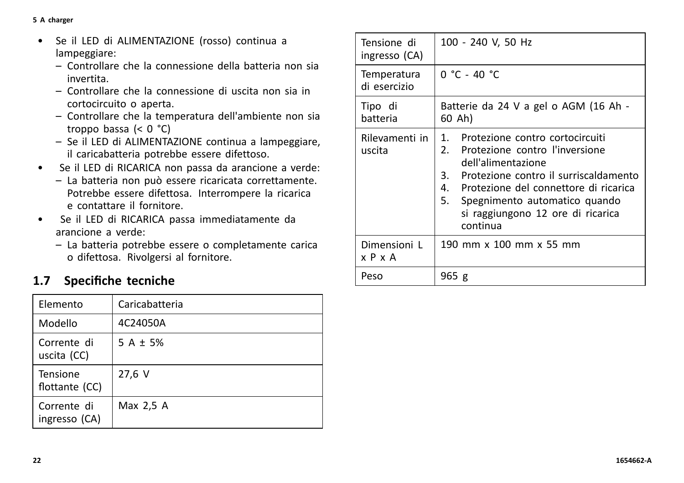- <span id="page-21-0"></span>• Se il LED di ALIMENTAZIONE (rosso) continua <sup>a</sup> lampeggiare:
	- Controllare che la connessione della batteria non sia invertita.
	- Controllare che la connessione di uscita non sia in cortocircuito <sup>o</sup> aperta.
	- Controllare che la temperatura dell'ambiente non sia troppo bassa (< 0 °C)
	- Se il LED di ALIMENTAZIONE continua <sup>a</sup> lampeggiare, il caricabatteria potrebbe essere difettoso.
- • Se il LED di RICARICA non passa da arancione <sup>a</sup> verde:
	- La batteria non può essere ricaricata correttamente. Potrebbe essere difettosa. Interrompere la ricarica <sup>e</sup> contattare il fornitore.
- • Se il LED di RICARICA passa immediatamente da arancione a verde:
	- La batteria potrebbe essere <sup>o</sup> completamente carica <sup>o</sup> difettosa. Rivolgersi al fornitore.

## **1.7 Specifiche tecniche**

| Elemento                     | Caricabatteria |
|------------------------------|----------------|
| Modello                      | 4C24050A       |
| Corrente di<br>uscita (CC)   | 5 A $\pm$ 5%   |
| Tensione<br>flottante (CC)   | 27,6 V         |
| Corrente di<br>ingresso (CA) | Max 2,5 A      |

| Tensione di<br>ingresso (CA) | 100 - 240 V, 50 Hz                                                                                                                                                                                                                                                                             |  |
|------------------------------|------------------------------------------------------------------------------------------------------------------------------------------------------------------------------------------------------------------------------------------------------------------------------------------------|--|
| Temperatura<br>di esercizio  | 0 °C - 40 °C                                                                                                                                                                                                                                                                                   |  |
| Tipo di<br>batteria          | Batterie da 24 V a gel o AGM (16 Ah -<br>60 Ah)                                                                                                                                                                                                                                                |  |
| Rilevamenti in<br>uscita     | $1_{-}$<br>Protezione contro cortocircuiti<br>Protezione contro l'inversione<br>2.<br>dell'alimentazione<br>Protezione contro il surriscaldamento<br>3.<br>4.<br>Protezione del connettore di ricarica<br>5.<br>Spegnimento automatico quando<br>si raggiungono 12 ore di ricarica<br>continua |  |
| Dimensioni L<br>хРхА         | 190 mm x 100 mm x 55 mm                                                                                                                                                                                                                                                                        |  |
| Peso                         | 965 g                                                                                                                                                                                                                                                                                          |  |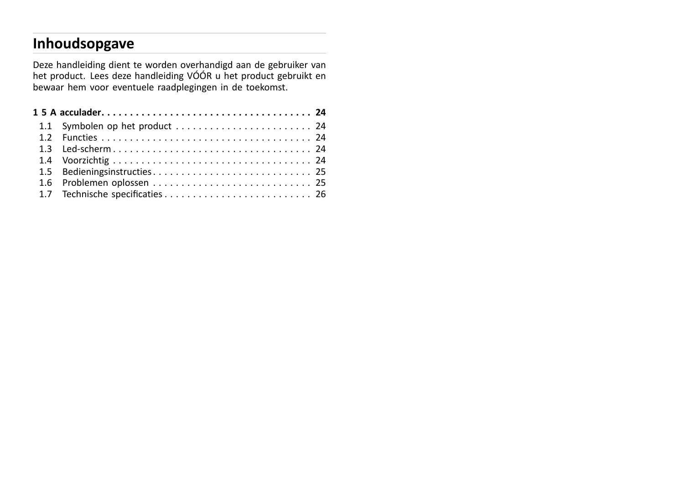## <span id="page-22-0"></span>**Inhoudsopgave**

Deze handleiding dient te worden overhandigd aan de gebruiker van het product. Lees deze handleiding VÓÓR <sup>u</sup> het product gebruikt en bewaar hem voor eventuele raadplegingen in de toekomst.

| 1.5 Bedieningsinstructies 25 |
|------------------------------|
|                              |
|                              |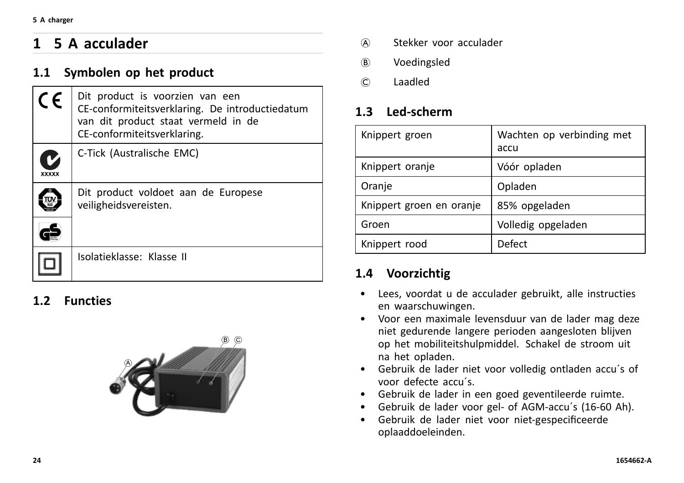## <span id="page-23-0"></span>**1 5 A acculader**

#### **1.1 Symbolen op het product**

| CE                               | Dit product is voorzien van een<br>CE-conformiteitsverklaring. De introductiedatum<br>van dit product staat vermeld in de<br>CE-conformiteitsverklaring. |
|----------------------------------|----------------------------------------------------------------------------------------------------------------------------------------------------------|
| $\boldsymbol{V}$<br><b>XXXXX</b> | C-Tick (Australische EMC)                                                                                                                                |
|                                  | Dit product voldoet aan de Europese<br>veiligheidsvereisten.                                                                                             |
|                                  |                                                                                                                                                          |
|                                  | Isolatieklasse: Klasse II                                                                                                                                |

## **1.2 Functies**



- A Stekker voor acculader
- B Voedingsled
- C Laadled

#### **1.3 Led-scherm**

| Knippert groen           | Wachten op verbinding met<br>accu |
|--------------------------|-----------------------------------|
| Knippert oranje          | Vóór opladen                      |
| Oranje                   | Opladen                           |
| Knippert groen en oranje | 85% opgeladen                     |
| Groen                    | Volledig opgeladen                |
| Knippert rood            | <b>Defect</b>                     |

#### **1.4 Voorzichtig**

- Lees, voordat <sup>u</sup> de acculader gebruikt, alle instructies en waarschuwingen.
- Voor een maximale levensduur van de lader mag deze niet gedurende langere perioden aangesloten blijven op het mobiliteitshulpmiddel. Schakel de stroom uit na het opladen.
- Gebruik de lader niet voor volledig ontladen accu´s of voor defecte accu´s.
- Gebruik de lader in een goed geventileerde ruimte.
- •Gebruik de lader voor gel- of AGM-accu´s (16-60 Ah).
- Gebruik de lader niet voor niet-gespecificeerde oplaaddoeleinden.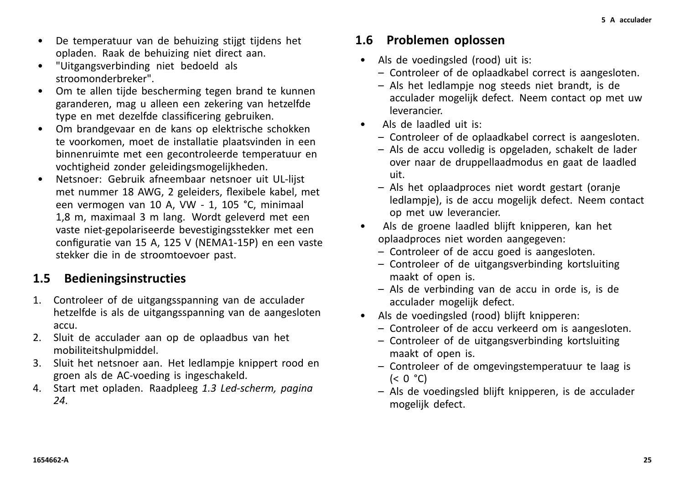- <span id="page-24-0"></span>• De temperatuur van de behuizing stijgt tijdens het opladen. Raak de behuizing niet direct aan.
- "Uitgangsverbinding niet bedoeld als stroomonderbreker".
- Om te allen tijde bescherming tegen brand te kunnen garanderen, mag <sup>u</sup> alleen een zekering van hetzelfde type en met dezelfde classificering gebruiken.
- Om brandgevaar en de kans op elektrische schokken te voorkomen, moet de installatie plaatsvinden in een binnenruimte met een gecontroleerde temperatuur en vochtigheid zonder geleidingsmogelijkheden.
- Netsnoer: Gebruik afneembaar netsnoer uit UL-lijst met nummer 18 AWG, 2 geleiders, flexibele kabel, met een vermogen van 10 A, VW - 1, 105 °C, minimaal 1,8 m, maximaal 3 <sup>m</sup> lang. Wordt geleverd met een vaste niet-gepolariseerde bevestigingsstekker met een configuratie van 15 A, 125 V (NEMA1-15P) en een vaste stekker die in de stroomtoevoer past.

## **1.5 Bedieningsinstructies**

- 1. Controleer of de uitgangsspanning van de acculader hetzelfde is als de uitgangsspanning van de aangesloten accu.
- 2. Sluit de acculader aan op de oplaadbus van het mobiliteitshulpmiddel.
- 3. Sluit het netsnoer aan. Het ledlampje knippert rood en groen als de AC-voeding is ingeschakeld.
- 4. Start met opladen. Raadpleeg *1.3 [Led-scherm,](#page-23-0) pagina [24](#page-23-0)*.

## **1.6 Problemen oplossen**

- Als de voedingsled (rood) uit is:
	- Controleer of de oplaadkabel correct is aangesloten.
	- Als het ledlampje nog steeds niet brandt, is de acculader mogelijk defect. Neem contact op met uw leverancier.
- • Als de laadled uit is:
	- Controleer of de oplaadkabel correct is aangesloten.
	- Als de accu volledig is opgeladen, schakelt de lader over naar de druppellaadmodus en gaat de laadled uit.
	- Als het oplaadproces niet wordt gestart (oranje ledlampje), is de accu mogelijk defect. Neem contact op met uw leverancier.
- • Als de groene laadled blijft knipperen, kan het oplaadproces niet worden aangegeven:
	- Controleer of de accu goed is aangesloten.
	- Controleer of de uitgangsverbinding kortsluiting maakt of open is.
	- Als de verbinding van de accu in orde is, is de acculader mogelijk defect.
- • Als de voedingsled (rood) blijft knipperen:
	- Controleer of de accu verkeerd om is aangesloten.
	- Controleer of de uitgangsverbinding kortsluiting maakt of open is.
	- Controleer of de omgevingstemperatuur te laag is  $(0, 0, 0)$
	- Als de voedingsled blijft knipperen, is de acculader mogelijk defect.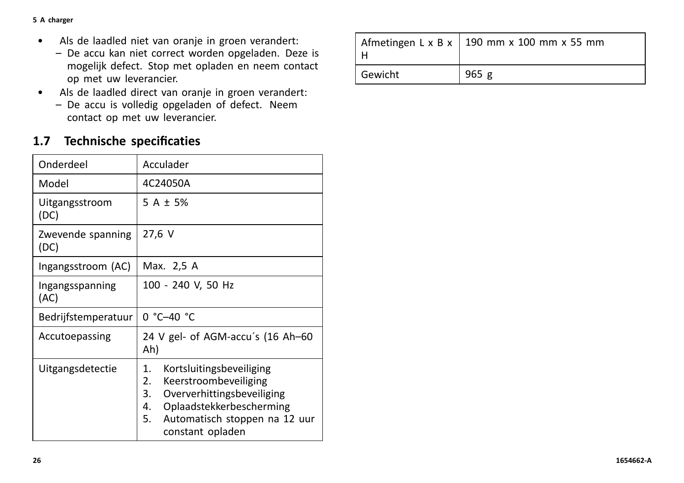#### <span id="page-25-0"></span>**5 A charger**

- • Als de laadled niet van oranje in groen verandert:
	- De accu kan niet correct worden opgeladen. Deze is mogelijk defect. Stop met opladen en neem contact op met uw leverancier.
- Als de laadled direct van oranje in groen verandert:
	- De accu is volledig opgeladen of defect. Neem contact op met uw leverancier.

#### **1.7 Technische specificaties**

| Onderdeel                 | Acculader                                                                                                                                                                                      |
|---------------------------|------------------------------------------------------------------------------------------------------------------------------------------------------------------------------------------------|
| Model                     | 4C24050A                                                                                                                                                                                       |
| Uitgangsstroom<br>(DC)    | $5A \pm 5%$                                                                                                                                                                                    |
| Zwevende spanning<br>(DC) | 27,6 V                                                                                                                                                                                         |
| Ingangsstroom (AC)        | Max. 2,5 A                                                                                                                                                                                     |
| Ingangsspanning<br>(AC)   | 100 - 240 V, 50 Hz                                                                                                                                                                             |
| Bedrijfstemperatuur       | 0 °C-40 °C                                                                                                                                                                                     |
| Accutoepassing            | 24 V gel- of AGM-accu's (16 Ah–60<br>Ah)                                                                                                                                                       |
| Uitgangsdetectie          | Kortsluitingsbeveiliging<br>1.<br>Keerstroombeveiliging<br>2.<br>3.<br>Oververhittingsbeveiliging<br>4.<br>Oplaadstekkerbescherming<br>5.<br>Automatisch stoppen na 12 uur<br>constant opladen |

|         | $\vert$ Afmetingen L x B x $\vert$ 190 mm x 100 mm x 55 mm |
|---------|------------------------------------------------------------|
| Gewicht | 965 g                                                      |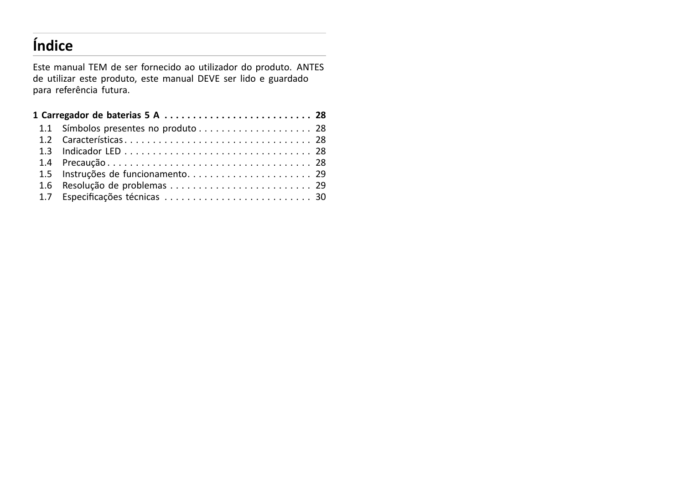## <span id="page-26-0"></span>**Índice**

Este manual TEM de ser fornecido ao utilizador do produto. ANTES de utilizar este produto, este manual DEVE ser lido <sup>e</sup> guardado para referência futura.

| 1 Carregador de baterias 5 A  28   |
|------------------------------------|
|                                    |
|                                    |
|                                    |
|                                    |
| 1.5 Instruções de funcionamento 29 |
| 1.6 Resolução de problemas  29     |
|                                    |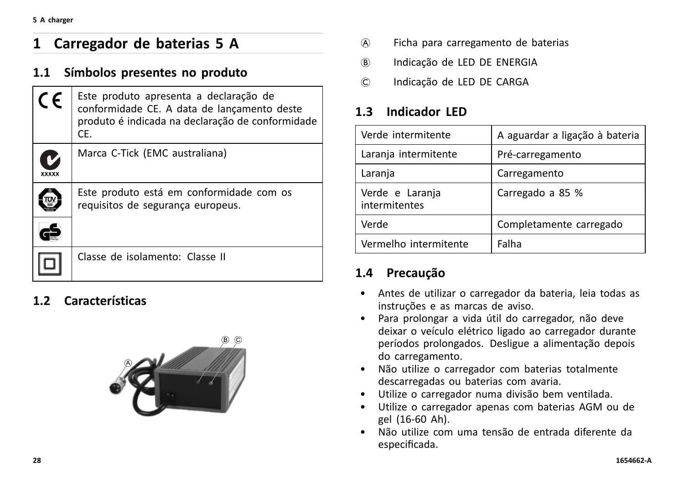## <span id="page-27-0"></span>**1 Carregador de baterias 5 A**

### **1.1 Símbolos presentes no produto**

| CE                | Este produto apresenta a declaração de<br>conformidade CE. A data de lançamento deste<br>produto é indicada na declaração de conformidade<br>CF. |
|-------------------|--------------------------------------------------------------------------------------------------------------------------------------------------|
| V<br><b>XXXXX</b> | Marca C-Tick (EMC australiana)                                                                                                                   |
|                   | Este produto está em conformidade com os<br>requisitos de segurança europeus.                                                                    |
|                   |                                                                                                                                                  |
|                   | Classe de isolamento: Classe II                                                                                                                  |

## **1.2 Características**



- A Ficha para carregamento de baterias
- B Indicação de LED DE ENERGIA
- C Indicação de LED DE CARGA

#### **1.3 Indicador LED**

| Verde intermitente               | A aguardar a ligação à bateria |
|----------------------------------|--------------------------------|
| Laranja intermitente             | Pré-carregamento               |
| Laranja                          | Carregamento                   |
| Verde e Laranja<br>intermitentes | Carregado a 85 %               |
| Verde                            | Completamente carregado        |
| Vermelho intermitente            | Falha                          |

## **1.4 Precaução**

- Antes de utilizar <sup>o</sup> carregador da bateria, leia todas as instruções <sup>e</sup> as marcas de aviso.
- Para prolongar <sup>a</sup> vida útil do carregador, não deve deixar <sup>o</sup> veículo elétrico ligado ao carregador durante períodos prolongados. Desligue <sup>a</sup> alimentação depois do carregamento.
- Não utilize <sup>o</sup> carregador com baterias totalmente descarregadas ou baterias com avaria.
- •Utilize <sup>o</sup> carregador numa divisão bem ventilada.
- • Utilize <sup>o</sup> carregador apenas com baterias AGM ou de gel (16-60 Ah).
- • Não utilize com uma tensão de entrada diferente da especificada.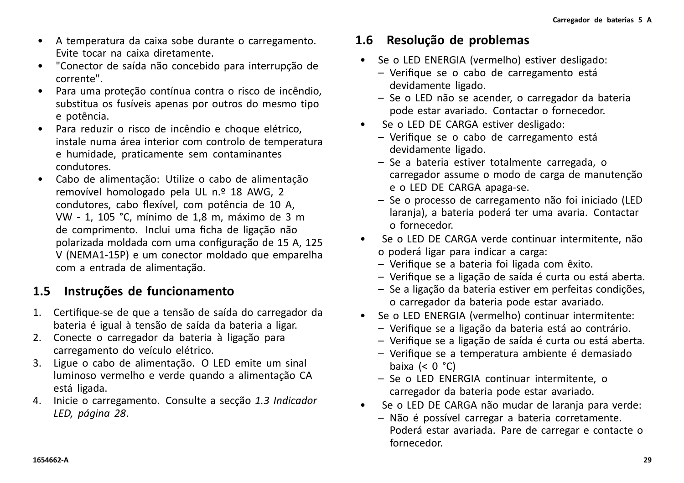- <span id="page-28-0"></span>• A temperatura da caixa sobe durante <sup>o</sup> carregamento. Evite tocar na caixa diretamente.
- "Conector de saída não concebido para interrupção de corrente".
- Para uma proteção contínua contra <sup>o</sup> risco de incêndio, substitua os fusíveis apenas por outros do mesmo tipo <sup>e</sup> potência.
- Para reduzir <sup>o</sup> risco de incêndio <sup>e</sup> choque elétrico, instale numa área interior com controlo de temperatura <sup>e</sup> humidade, praticamente sem contaminantes condutores.
- Cabo de alimentação: Utilize <sup>o</sup> cabo de alimentação removível homologado pela UL n.<sup>º</sup> 18 AWG, 2 condutores, cabo flexível, com potência de 10 A, VW - 1, 105 °C, mínimo de 1,8 m, máximo de 3 <sup>m</sup> de comprimento. Inclui uma ficha de ligação não polarizada moldada com uma configuração de 15 A, 125 V (NEMA1-15P) <sup>e</sup> um conector moldado que emparelha com <sup>a</sup> entrada de alimentação.

## **1.5 Instruções de funcionamento**

- 1. Certifique-se de que <sup>a</sup> tensão de saída do carregador da bateria é igual à tensão de saída da bateria <sup>a</sup> ligar.
- 2. Conecte <sup>o</sup> carregador da bateria à ligação para carregamento do veículo elétrico.
- 3. Ligue <sup>o</sup> cabo de alimentação. O LED emite um sinal luminoso vermelho <sup>e</sup> verde quando <sup>a</sup> alimentação CA está ligada.
- 4. Inicie <sup>o</sup> carregamento. Consulte <sup>a</sup> secção *1.3 [Indicador](#page-27-0) LED, [página](#page-27-0) [28](#page-27-0)*.

## **1.6 Resolução de problemas**

- • Se <sup>o</sup> LED ENERGIA (vermelho) estiver desligado:
	- Verifique se <sup>o</sup> cabo de carregamento está devidamente ligado.
	- Se <sup>o</sup> LED não se acender, <sup>o</sup> carregador da bateria pode estar avariado. Contactar <sup>o</sup> fornecedor.
- • Se <sup>o</sup> LED DE CARGA estiver desligado:
	- Verifique se <sup>o</sup> cabo de carregamento está devidamente ligado.
	- Se <sup>a</sup> bateria estiver totalmente carregada, <sup>o</sup> carregador assume <sup>o</sup> modo de carga de manutenção <sup>e</sup> <sup>o</sup> LED DE CARGA apaga-se.
	- Se <sup>o</sup> processo de carregamento não foi iniciado (LED laranja), <sup>a</sup> bateria poderá ter uma avaria. Contactar <sup>o</sup> fornecedor.
- • Se <sup>o</sup> LED DE CARGA verde continuar intermitente, não <sup>o</sup> poderá ligar para indicar <sup>a</sup> carga:
	- Verifique se <sup>a</sup> bateria foi ligada com êxito.
	- Verifique se <sup>a</sup> ligação de saída é curta ou está aberta.
	- Se <sup>a</sup> ligação da bateria estiver em perfeitas condições, <sup>o</sup> carregador da bateria pode estar avariado.
- • Se <sup>o</sup> LED ENERGIA (vermelho) continuar intermitente:
	- Verifique se <sup>a</sup> ligação da bateria está ao contrário.
	- Verifique se <sup>a</sup> ligação de saída é curta ou está aberta.
	- Verifique se <sup>a</sup> temperatura ambiente é demasiado baixa  $( $0$  °C)$
	- Se <sup>o</sup> LED ENERGIA continuar intermitente, <sup>o</sup> carregador da bateria pode estar avariado.
- • Se <sup>o</sup> LED DE CARGA não mudar de laranja para verde:
	- Não é possível carregar <sup>a</sup> bateria corretamente. Poderá estar avariada. Pare de carregar <sup>e</sup> contacte <sup>o</sup> fornecedor.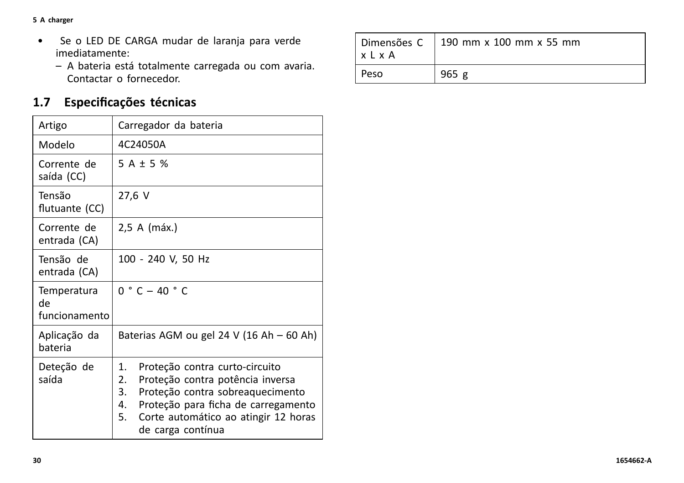- <span id="page-29-0"></span>• Se <sup>o</sup> LED DE CARGA mudar de laranja para verde imediatamente:
	- A bateria está totalmente carregada ou com avaria. Contactar <sup>o</sup> fornecedor.

## **1.7 Especificações técnicas**

| Artigo                             | Carregador da bateria                                                                                                                                                                                                                    |
|------------------------------------|------------------------------------------------------------------------------------------------------------------------------------------------------------------------------------------------------------------------------------------|
| Modelo                             | 4C24050A                                                                                                                                                                                                                                 |
| Corrente de<br>saída (CC)          | $5A \pm 5%$                                                                                                                                                                                                                              |
| Tensão<br>flutuante (CC)           | 27,6 V                                                                                                                                                                                                                                   |
| Corrente de<br>entrada (CA)        | 2,5 A (máx.)                                                                                                                                                                                                                             |
| Tensão de<br>entrada (CA)          | 100 - 240 V, 50 Hz                                                                                                                                                                                                                       |
| Temperatura<br>de<br>funcionamento | $0 \degree C - 40 \degree C$                                                                                                                                                                                                             |
| Aplicação da<br>bateria            | Baterias AGM ou gel 24 V (16 Ah – 60 Ah)                                                                                                                                                                                                 |
| Deteção de<br>saída                | Proteção contra curto-circuito<br>1.<br>2.<br>Proteção contra potência inversa<br>3.<br>Proteção contra sobreaquecimento<br>4.<br>Proteção para ficha de carregamento<br>5.<br>Corte automático ao atingir 12 horas<br>de carga contínua |

| Dimensões C<br>$x$ L $x$ A | 190 mm x 100 mm x 55 mm |
|----------------------------|-------------------------|
| Peso                       | 965 g                   |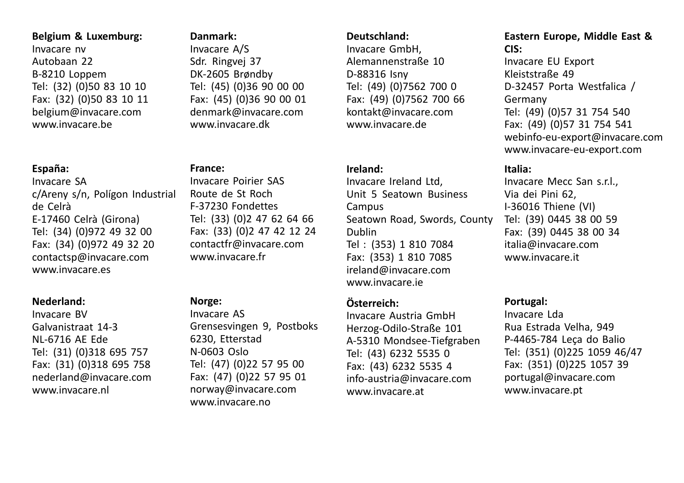#### **Belgium & Luxemburg:**

Invacare nv Autobaan 22 B-8210 Loppem Tel: (32) (0)50 83 10 10 Fax: (32) (0)50 83 10 11 belgium@invacare.com www.invacare.be

#### **España:**

Invacare SA c/Areny s/n, Polígon Industrial de Celrà E-17460 Celrà (Girona) Tel: (34) (0)972 49 32 00 Fax: (34) (0)972 49 32 20 contactsp@invacare.com www.invacare.es

#### **Nederland:**

Invacare BV Galvanistraat 14-3 NL-6716 AE Ede Tel: (31) (0)318 695 757 Fax: (31) (0)318 695 758 nederland@invacare.com www.invacare.nl

#### **Danmark:**

Invacare A/S Sdr. Ringvej 37 DK-2605 Brøndby Tel: (45) (0)36 90 00 00 Fax: (45) (0)36 90 00 01 denmark@invacare.com www.invacare.dk

#### **France:**

Invacare Poirier SAS Route de St Roch F-37230 Fondettes Tel: (33) (0)2 47 62 64 66 Fax: (33) (0)2 47 42 12 24 contactfr@invacare.com www.invacare.fr

#### **Norge:**

Invacare AS Grensesvingen 9, Postboks 6230, Etterstad N-0603 Oslo Tel: (47) (0)22 57 95 00 Fax: (47) (0)22 57 95 01 norway@invacare.com www.invacare.no

#### **Deutschland:**

Invacare GmbH, Alemannenstraße 10 D-88316 Isny Tel: (49) (0)7562 700 0 Fax: (49) (0)7562 700 66 kontakt@invacare.com www.invacare.de

#### **Ireland:**

Invacare Ireland Ltd, Unit 5 Seatown Business Campus Seatown Road, Swords, County Dublin Tel : (353) 1 810 7084 Fax: (353) 1 810 7085 ireland@invacare.com www.invacare.ie

#### **Österreich:**

Invacare Austria GmbH Herzog-Odilo-Straße 101 A-5310 Mondsee-Tiefgraben Tel: (43) 6232 5535 0 Fax: (43) 6232 5535 4 info-austria@invacare.com www.invacare.at

#### **Eastern Europe, Middle East & CIS:**

Invacare EU Export Kleiststraße 49 D-32457 Porta Westfalica / Germany Tel: (49) (0)57 31 754 540 Fax: (49) (0)57 31 754 541 webinfo-eu-export@invacare.com www.invacare-eu-export.com

#### **Italia:**

Invacare Mecc San s.r.l., Via dei Pini 62, I-36016 Thiene (VI) Tel: (39) 0445 38 00 59 Fax: (39) 0445 38 00 34 italia@invacare.com www.invacare.it

#### **Portugal:**

Invacare Lda Rua Estrada Velha, 949 P-4465-784 Leça do Balio Tel: (351) (0)225 1059 46/47 Fax: (351) (0)225 1057 39 portugal@invacare.com www.invacare.pt